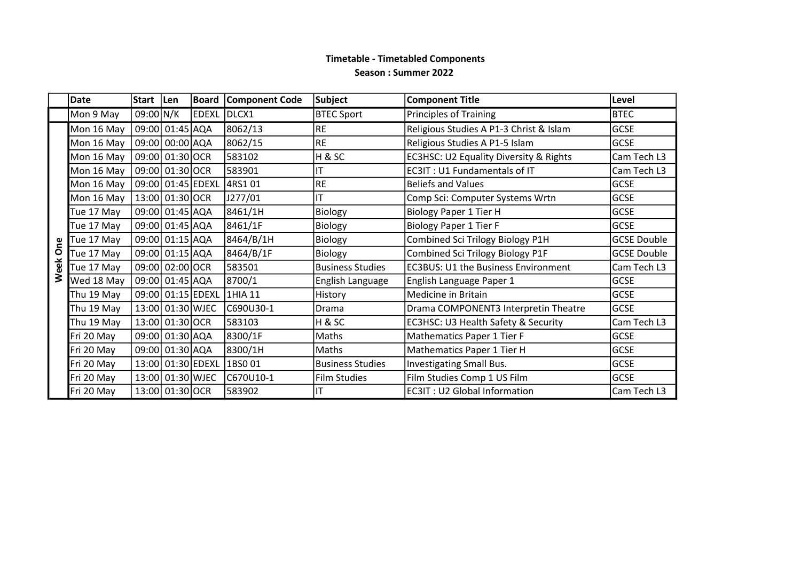## Timetable - Timetabled Components Season : Summer 2022

|      | <b>Date</b> | Start   Len       |                   | <b>Board</b> | <b>Component Code</b> | <b>Subject</b>          | <b>Component Title</b>                            | Level              |
|------|-------------|-------------------|-------------------|--------------|-----------------------|-------------------------|---------------------------------------------------|--------------------|
|      | Mon 9 May   | 09:00 N/K         |                   | <b>EDEXL</b> | DLCX1                 | <b>BTEC Sport</b>       | <b>Principles of Training</b>                     | <b>BTEC</b>        |
|      | Mon 16 May  | 09:00 01:45 AQA   |                   |              | 8062/13               | <b>RE</b>               | Religious Studies A P1-3 Christ & Islam           | <b>GCSE</b>        |
|      | Mon 16 May  | 09:00 00:00 AQA   |                   |              | 8062/15               | <b>RE</b>               | Religious Studies A P1-5 Islam                    | <b>GCSE</b>        |
|      | Mon 16 May  | 09:00 01:30 OCR   |                   |              | 583102                | H&SC                    | <b>EC3HSC: U2 Equality Diversity &amp; Rights</b> | Cam Tech L3        |
|      | Mon 16 May  | 09:00 01:30 OCR   |                   |              | 583901                | IT                      | <b>EC3IT: U1 Fundamentals of IT</b>               | Cam Tech L3        |
|      | Mon 16 May  | 09:00 01:45 EDEXL |                   |              | 4RS1 01               | <b>RE</b>               | <b>Beliefs and Values</b>                         | <b>GCSE</b>        |
|      | Mon 16 May  |                   | 13:00 01:30 OCR   |              | J277/01               | $\mathsf{I}\mathsf{T}$  | Comp Sci: Computer Systems Wrtn                   | <b>GCSE</b>        |
|      | Tue 17 May  | 09:00 01:45 AQA   |                   |              | 8461/1H               | Biology                 | <b>Biology Paper 1 Tier H</b>                     | <b>GCSE</b>        |
|      | Tue 17 May  |                   | 09:00 01:45 AQA   |              | 8461/1F               | Biology                 | <b>Biology Paper 1 Tier F</b>                     | <b>GCSE</b>        |
| One  | Tue 17 May  | 09:00 01:15 AQA   |                   |              | 8464/B/1H             | Biology                 | Combined Sci Trilogy Biology P1H                  | <b>GCSE Double</b> |
|      | Tue 17 May  |                   | 09:00 01:15 AQA   |              | 8464/B/1F             | Biology                 | Combined Sci Trilogy Biology P1F                  | <b>GCSE Double</b> |
| Week | Tue 17 May  |                   | 09:00 02:00 OCR   |              | 583501                | <b>Business Studies</b> | <b>EC3BUS: U1 the Business Environment</b>        | Cam Tech L3        |
|      | Wed 18 May  | 09:00 01:45 AQA   |                   |              | 8700/1                | English Language        | English Language Paper 1                          | <b>GCSE</b>        |
|      | Thu 19 May  |                   | 09:00 01:15 EDEXL |              | 1HIA 11               | History                 | Medicine in Britain                               | <b>GCSE</b>        |
|      | Thu 19 May  |                   | 13:00 01:30 WJEC  |              | C690U30-1             | Drama                   | Drama COMPONENT3 Interpretin Theatre              | <b>GCSE</b>        |
|      | Thu 19 May  |                   | 13:00 01:30 OCR   |              | 583103                | H&SC                    | EC3HSC: U3 Health Safety & Security               | Cam Tech L3        |
|      | Fri 20 May  |                   | 09:00 01:30 AQA   |              | 8300/1F               | Maths                   | Mathematics Paper 1 Tier F                        | <b>GCSE</b>        |
|      | Fri 20 May  |                   | 09:00 01:30 AQA   |              | 8300/1H               | Maths                   | Mathematics Paper 1 Tier H                        | GCSE               |
|      | Fri 20 May  |                   | 13:00 01:30 EDEXL |              | 1BSO 01               | <b>Business Studies</b> | Investigating Small Bus.                          | <b>GCSE</b>        |
|      | Fri 20 May  |                   | 13:00 01:30 WJEC  |              | C670U10-1             | <b>Film Studies</b>     | Film Studies Comp 1 US Film                       | <b>GCSE</b>        |
|      | Fri 20 May  |                   | 13:00 01:30 OCR   |              | 583902                | IT                      | <b>EC3IT: U2 Global Information</b>               | Cam Tech L3        |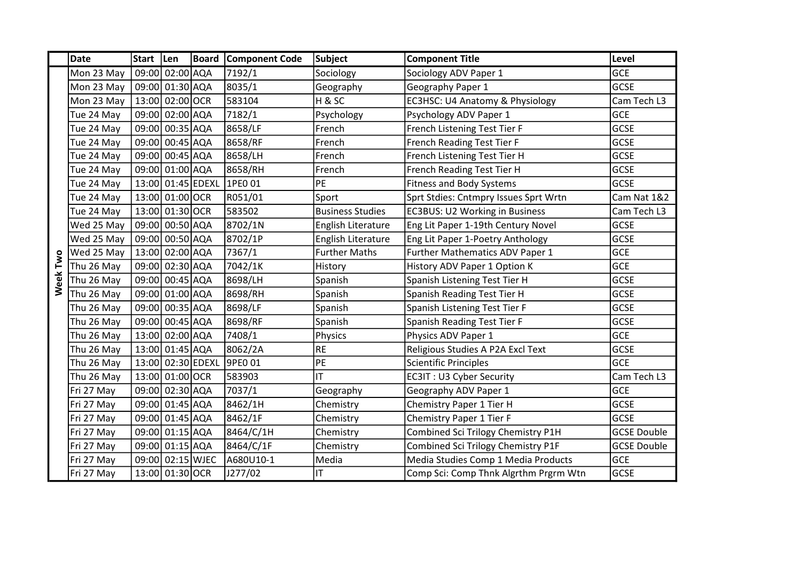|          | <b>Date</b> | Start   Len |                   | Board | <b>Component Code</b> | <b>Subject</b>          | <b>Component Title</b>                | Level              |
|----------|-------------|-------------|-------------------|-------|-----------------------|-------------------------|---------------------------------------|--------------------|
|          | Mon 23 May  |             | 09:00 02:00 AQA   |       | 7192/1                | Sociology               | Sociology ADV Paper 1                 | <b>GCE</b>         |
|          | Mon 23 May  |             | 09:00 01:30 AQA   |       | 8035/1                | Geography               | Geography Paper 1                     | <b>GCSE</b>        |
|          | Mon 23 May  |             | 13:00 02:00 OCR   |       | 583104                | H&SC                    | EC3HSC: U4 Anatomy & Physiology       | Cam Tech L3        |
|          | Tue 24 May  |             | 09:00 02:00 AQA   |       | 7182/1                | Psychology              | Psychology ADV Paper 1                | <b>GCE</b>         |
|          | Tue 24 May  |             | 09:00 00:35 AQA   |       | 8658/LF               | French                  | French Listening Test Tier F          | <b>GCSE</b>        |
|          | Tue 24 May  |             | 09:00 00:45 AQA   |       | 8658/RF               | French                  | French Reading Test Tier F            | <b>GCSE</b>        |
|          | Tue 24 May  |             | 09:00 00:45 AQA   |       | 8658/LH               | French                  | French Listening Test Tier H          | <b>GCSE</b>        |
|          | Tue 24 May  |             | 09:00 01:00 AQA   |       | 8658/RH               | French                  | French Reading Test Tier H            | <b>GCSE</b>        |
|          | Tue 24 May  |             | 13:00 01:45 EDEXL |       | 1PE0 01               | <b>PE</b>               | <b>Fitness and Body Systems</b>       | <b>GCSE</b>        |
|          | Tue 24 May  |             | 13:00 01:00 OCR   |       | R051/01               | Sport                   | Sprt Stdies: Cntmpry Issues Sprt Wrtn | Cam Nat 1&2        |
|          | Tue 24 May  |             | 13:00 01:30 OCR   |       | 583502                | <b>Business Studies</b> | <b>EC3BUS: U2 Working in Business</b> | Cam Tech L3        |
|          | Wed 25 May  |             | 09:00 00:50 AQA   |       | 8702/1N               | English Literature      | Eng Lit Paper 1-19th Century Novel    | <b>GCSE</b>        |
|          | Wed 25 May  |             | 09:00 00:50 AQA   |       | 8702/1P               | English Literature      | Eng Lit Paper 1-Poetry Anthology      | <b>GCSE</b>        |
|          | Wed 25 May  |             | 13:00 02:00 AQA   |       | 7367/1                | <b>Further Maths</b>    | Further Mathematics ADV Paper 1       | <b>GCE</b>         |
| Week Two | Thu 26 May  |             | 09:00 02:30 AQA   |       | 7042/1K               | History                 | History ADV Paper 1 Option K          | <b>GCE</b>         |
|          | Thu 26 May  |             | 09:00 00:45 AQA   |       | 8698/LH               | Spanish                 | Spanish Listening Test Tier H         | <b>GCSE</b>        |
|          | Thu 26 May  |             | 09:00 01:00 AQA   |       | 8698/RH               | Spanish                 | Spanish Reading Test Tier H           | <b>GCSE</b>        |
|          | Thu 26 May  |             | 09:00 00:35 AQA   |       | 8698/LF               | Spanish                 | Spanish Listening Test Tier F         | <b>GCSE</b>        |
|          | Thu 26 May  |             | 09:00 00:45 AQA   |       | 8698/RF               | Spanish                 | Spanish Reading Test Tier F           | <b>GCSE</b>        |
|          | Thu 26 May  |             | 13:00 02:00 AQA   |       | 7408/1                | Physics                 | Physics ADV Paper 1                   | <b>GCE</b>         |
|          | Thu 26 May  |             | 13:00 01:45 AQA   |       | 8062/2A               | <b>RE</b>               | Religious Studies A P2A Excl Text     | <b>GCSE</b>        |
|          | Thu 26 May  |             | 13:00 02:30 EDEXL |       | 9PE0 01               | PE                      | Scientific Principles                 | <b>GCE</b>         |
|          | Thu 26 May  |             | 13:00 01:00 OCR   |       | 583903                | ΙT                      | EC3IT: U3 Cyber Security              | Cam Tech L3        |
|          | Fri 27 May  |             | 09:00 02:30 AQA   |       | 7037/1                | Geography               | Geography ADV Paper 1                 | <b>GCE</b>         |
|          | Fri 27 May  |             | 09:00 01:45 AQA   |       | 8462/1H               | Chemistry               | Chemistry Paper 1 Tier H              | <b>GCSE</b>        |
|          | Fri 27 May  |             | 09:00 01:45 AQA   |       | 8462/1F               | Chemistry               | Chemistry Paper 1 Tier F              | <b>GCSE</b>        |
|          | Fri 27 May  |             | 09:00 01:15 AQA   |       | 8464/C/1H             | Chemistry               | Combined Sci Trilogy Chemistry P1H    | <b>GCSE Double</b> |
|          | Fri 27 May  |             | 09:00 01:15 AQA   |       | 8464/C/1F             | Chemistry               | Combined Sci Trilogy Chemistry P1F    | <b>GCSE Double</b> |
|          | Fri 27 May  |             | 09:00 02:15 WJEC  |       | A680U10-1             | Media                   | Media Studies Comp 1 Media Products   | <b>GCE</b>         |
|          | Fri 27 May  |             | 13:00 01:30 OCR   |       | J277/02               | $\mathsf{I}\mathsf{T}$  | Comp Sci: Comp Thnk Algrthm Prgrm Wtn | <b>GCSE</b>        |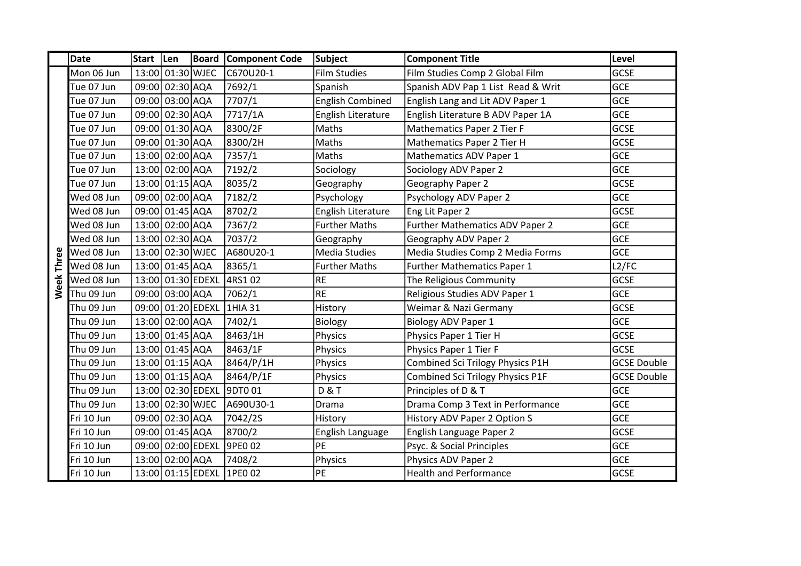|            | <b>Date</b> | Start   Len |                   | <b>Board</b>      | Component Code            | Subject                 | <b>Component Title</b>             | Level              |
|------------|-------------|-------------|-------------------|-------------------|---------------------------|-------------------------|------------------------------------|--------------------|
|            | Mon 06 Jun  |             | 13:00 01:30 WJEC  |                   | C670U20-1                 | <b>Film Studies</b>     | Film Studies Comp 2 Global Film    | <b>GCSE</b>        |
|            | Tue 07 Jun  |             | 09:00 02:30 AQA   |                   | 7692/1                    | Spanish                 | Spanish ADV Pap 1 List Read & Writ | <b>GCE</b>         |
|            | Tue 07 Jun  |             | 09:00 03:00 AQA   |                   | 7707/1                    | <b>English Combined</b> | English Lang and Lit ADV Paper 1   | <b>GCE</b>         |
|            | Tue 07 Jun  |             | 09:00 02:30 AQA   |                   | 7717/1A                   | English Literature      | English Literature B ADV Paper 1A  | <b>GCE</b>         |
|            | Tue 07 Jun  |             | 09:00 01:30 AQA   |                   | 8300/2F                   | Maths                   | Mathematics Paper 2 Tier F         | <b>GCSE</b>        |
|            | Tue 07 Jun  |             | 09:00 01:30 AQA   |                   | 8300/2H                   | Maths                   | Mathematics Paper 2 Tier H         | <b>GCSE</b>        |
|            | Tue 07 Jun  |             | 13:00 02:00 AQA   |                   | 7357/1                    | Maths                   | Mathematics ADV Paper 1            | <b>GCE</b>         |
|            | Tue 07 Jun  |             | 13:00 02:00 AQA   |                   | 7192/2                    | Sociology               | Sociology ADV Paper 2              | <b>GCE</b>         |
|            | Tue 07 Jun  |             | 13:00 01:15 AQA   |                   | 8035/2                    | Geography               | Geography Paper 2                  | <b>GCSE</b>        |
|            | Wed 08 Jun  |             | 09:00 02:00 AQA   |                   | 7182/2                    | Psychology              | Psychology ADV Paper 2             | <b>GCE</b>         |
|            | Wed 08 Jun  |             | 09:00 01:45 AQA   |                   | 8702/2                    | English Literature      | Eng Lit Paper 2                    | <b>GCSE</b>        |
|            | Wed 08 Jun  |             | 13:00 02:00 AQA   |                   | 7367/2                    | <b>Further Maths</b>    | Further Mathematics ADV Paper 2    | <b>GCE</b>         |
|            | Wed 08 Jun  |             | 13:00 02:30 AQA   |                   | 7037/2                    | Geography               | Geography ADV Paper 2              | <b>GCE</b>         |
|            | Wed 08 Jun  |             | 13:00 02:30 WJEC  |                   | A680U20-1                 | Media Studies           | Media Studies Comp 2 Media Forms   | <b>GCE</b>         |
|            | Wed 08 Jun  |             | 13:00 01:45 AQA   |                   | 8365/1                    | <b>Further Maths</b>    | Further Mathematics Paper 1        | L2/FC              |
| Week Three | Wed 08 Jun  |             | 13:00 01:30 EDEXL |                   | 4RS1 02                   | <b>RE</b>               | The Religious Community            | <b>GCSE</b>        |
|            | Thu 09 Jun  |             | 09:00 03:00 AQA   |                   | 7062/1                    | <b>RE</b>               | Religious Studies ADV Paper 1      | <b>GCE</b>         |
|            | Thu 09 Jun  |             | 09:00 01:20 EDEXL |                   | 1HIA 31                   | History                 | Weimar & Nazi Germany              | <b>GCSE</b>        |
|            | Thu 09 Jun  |             | 13:00 02:00 AQA   |                   | 7402/1                    | Biology                 | <b>Biology ADV Paper 1</b>         | <b>GCE</b>         |
|            | Thu 09 Jun  |             | 13:00 01:45 AQA   |                   | 8463/1H                   | Physics                 | Physics Paper 1 Tier H             | <b>GCSE</b>        |
|            | Thu 09 Jun  |             | 13:00 01:45 AQA   |                   | 8463/1F                   | Physics                 | Physics Paper 1 Tier F             | <b>GCSE</b>        |
|            | Thu 09 Jun  |             | 13:00 01:15 AQA   |                   | 8464/P/1H                 | Physics                 | Combined Sci Trilogy Physics P1H   | <b>GCSE Double</b> |
|            | Thu 09 Jun  |             | 13:00 01:15 AQA   |                   | 8464/P/1F                 | Physics                 | Combined Sci Trilogy Physics P1F   | <b>GCSE Double</b> |
|            | Thu 09 Jun  |             | 13:00 02:30 EDEXL |                   | 9DT0 01                   | <b>D&amp;T</b>          | Principles of D & T                | <b>GCE</b>         |
|            | Thu 09 Jun  |             | 13:00 02:30 WJEC  |                   | A690U30-1                 | Drama                   | Drama Comp 3 Text in Performance   | <b>GCE</b>         |
|            | Fri 10 Jun  |             | 09:00 02:30 AQA   |                   | 7042/2S                   | History                 | History ADV Paper 2 Option S       | <b>GCE</b>         |
|            | Fri 10 Jun  |             | 09:00 01:45 AQA   |                   | 8700/2                    | English Language        | English Language Paper 2           | <b>GCSE</b>        |
|            | Fri 10 Jun  |             |                   | 09:00 02:00 EDEXL | 9PE0 02                   | PE                      | Psyc. & Social Principles          | <b>GCE</b>         |
|            | Fri 10 Jun  |             | 13:00 02:00 AQA   |                   | 7408/2                    | Physics                 | Physics ADV Paper 2                | <b>GCE</b>         |
|            | Fri 10 Jun  |             |                   |                   | 13:00 01:15 EDEXL 1PE0 02 | PE                      | <b>Health and Performance</b>      | <b>GCSE</b>        |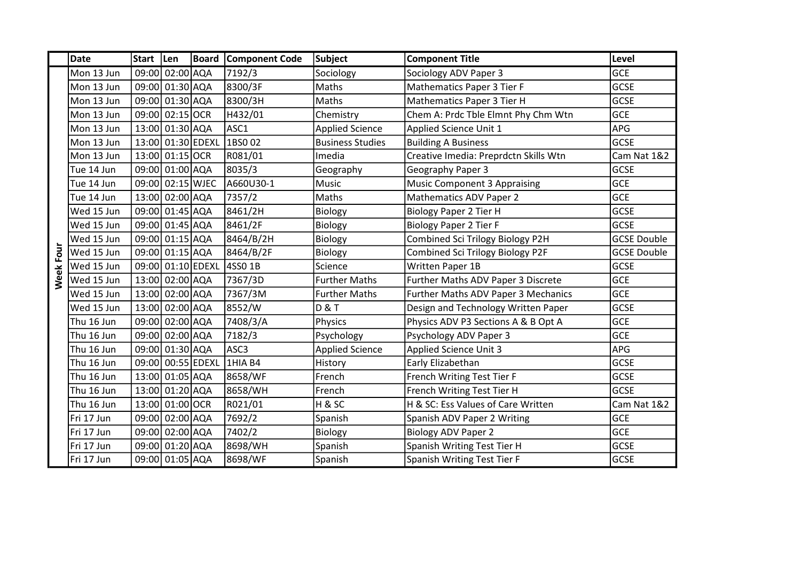|           | <b>Date</b> | Start   Len |                   | <b>Board</b>      | <b>Component Code</b> | <b>Subject</b>          | <b>Component Title</b>                | Level                  |
|-----------|-------------|-------------|-------------------|-------------------|-----------------------|-------------------------|---------------------------------------|------------------------|
|           | Mon 13 Jun  |             | 09:00 02:00 AQA   |                   | 7192/3                | Sociology               | Sociology ADV Paper 3                 | <b>GCE</b>             |
|           | Mon 13 Jun  |             | 09:00 01:30 AQA   |                   | 8300/3F               | Maths                   | Mathematics Paper 3 Tier F            | <b>GCSE</b>            |
|           | Mon 13 Jun  |             | 09:00 01:30 AQA   |                   | 8300/3H               | Maths                   | Mathematics Paper 3 Tier H            | <b>GCSE</b>            |
|           | Mon 13 Jun  |             | 09:00 02:15 OCR   |                   | H432/01               | Chemistry               | Chem A: Prdc Tble Elmnt Phy Chm Wtn   | <b>GCE</b>             |
|           | Mon 13 Jun  |             | 13:00 01:30 AQA   |                   | ASC1                  | <b>Applied Science</b>  | Applied Science Unit 1                | <b>APG</b>             |
|           | Mon 13 Jun  |             | 13:00 01:30 EDEXL |                   | 1BS0 02               | <b>Business Studies</b> | <b>Building A Business</b>            | <b>GCSE</b>            |
|           | Mon 13 Jun  |             | 13:00 01:15 OCR   |                   | R081/01               | Imedia                  | Creative Imedia: Preprdctn Skills Wtn | Cam Nat 1&2            |
|           | Tue 14 Jun  |             | 09:00 01:00 AQA   |                   | 8035/3                | Geography               | Geography Paper 3                     | <b>GCSE</b>            |
|           | Tue 14 Jun  |             | 09:00 02:15 WJEC  |                   | A660U30-1             | Music                   | Music Component 3 Appraising          | <b>GCE</b>             |
|           | Tue 14 Jun  |             | 13:00 02:00 AQA   |                   | 7357/2                | Maths                   | Mathematics ADV Paper 2               | <b>GCE</b>             |
|           | Wed 15 Jun  |             | 09:00 01:45 AQA   |                   | 8461/2H               | Biology                 | <b>Biology Paper 2 Tier H</b>         | <b>GCSE</b>            |
|           | Wed 15 Jun  |             | 09:00 01:45 AQA   |                   | 8461/2F               | Biology                 | <b>Biology Paper 2 Tier F</b>         | <b>GCSE</b>            |
|           | Wed 15 Jun  |             | 09:00 01:15 AQA   |                   | 8464/B/2H             | Biology                 | Combined Sci Trilogy Biology P2H      | <b>GCSE Double</b>     |
|           | Wed 15 Jun  |             | 09:00 01:15 AQA   |                   | 8464/B/2F             | Biology                 | Combined Sci Trilogy Biology P2F      | <b>GCSE Double</b>     |
|           | Wed 15 Jun  |             |                   | 09:00 01:10 EDEXL | 4SS0 1B               | Science                 | <b>Written Paper 1B</b>               | <b>GCSE</b>            |
| Week Four | Wed 15 Jun  |             | 13:00 02:00 AQA   |                   | 7367/3D               | <b>Further Maths</b>    | Further Maths ADV Paper 3 Discrete    | <b>GCE</b>             |
|           | Wed 15 Jun  |             | 13:00 02:00 AQA   |                   | 7367/3M               | <b>Further Maths</b>    | Further Maths ADV Paper 3 Mechanics   | <b>GCE</b>             |
|           | Wed 15 Jun  |             | 13:00 02:00 AQA   |                   | 8552/W                | <b>D&amp;T</b>          | Design and Technology Written Paper   | <b>GCSE</b>            |
|           | Thu 16 Jun  |             | 09:00 02:00 AQA   |                   | 7408/3/A              | Physics                 | Physics ADV P3 Sections A & B Opt A   | <b>GCE</b>             |
|           | Thu 16 Jun  |             | 09:00 02:00 AQA   |                   | 7182/3                | Psychology              | Psychology ADV Paper 3                | <b>GCE</b>             |
|           | Thu 16 Jun  |             | 09:00 01:30 AQA   |                   | ASC3                  | <b>Applied Science</b>  | <b>Applied Science Unit 3</b>         | <b>APG</b>             |
|           | Thu 16 Jun  |             | 09:00 00:55 EDEXL |                   | 1HIA B4               | History                 | Early Elizabethan                     | <b>GCSE</b>            |
|           | Thu 16 Jun  |             | 13:00 01:05 AQA   |                   | 8658/WF               | French                  | French Writing Test Tier F            | <b>GCSE</b>            |
|           | Thu 16 Jun  |             | 13:00 01:20 AQA   |                   | 8658/WH               | French                  | French Writing Test Tier H            | <b>GCSE</b>            |
|           | Thu 16 Jun  |             | 13:00 01:00 OCR   |                   | R021/01               | H&SC                    | H & SC: Ess Values of Care Written    | <b>Cam Nat 1&amp;2</b> |
|           | Fri 17 Jun  | 09:00       | 02:00 AQA         |                   | 7692/2                | Spanish                 | Spanish ADV Paper 2 Writing           | <b>GCE</b>             |
|           | Fri 17 Jun  | 09:00       | $02:00$ $AQA$     |                   | 7402/2                | Biology                 | <b>Biology ADV Paper 2</b>            | <b>GCE</b>             |
|           | Fri 17 Jun  |             | 09:00 01:20 AQA   |                   | 8698/WH               | Spanish                 | Spanish Writing Test Tier H           | <b>GCSE</b>            |
|           | Fri 17 Jun  |             | 09:00 01:05 AQA   |                   | 8698/WF               | Spanish                 | Spanish Writing Test Tier F           | <b>GCSE</b>            |